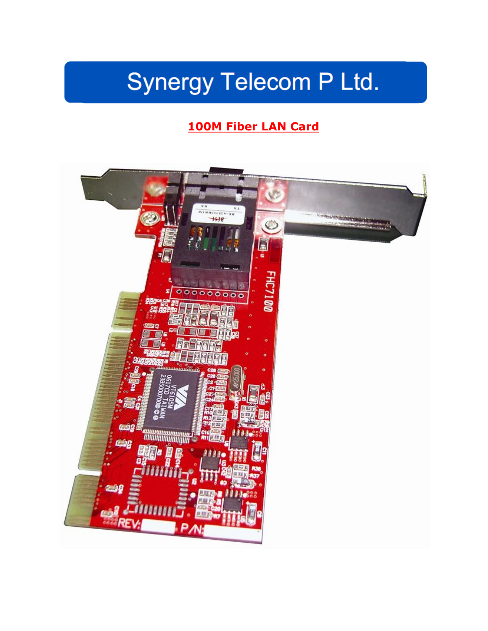# Synergy Telecom P Ltd.

# **100M Fiber LAN Card**

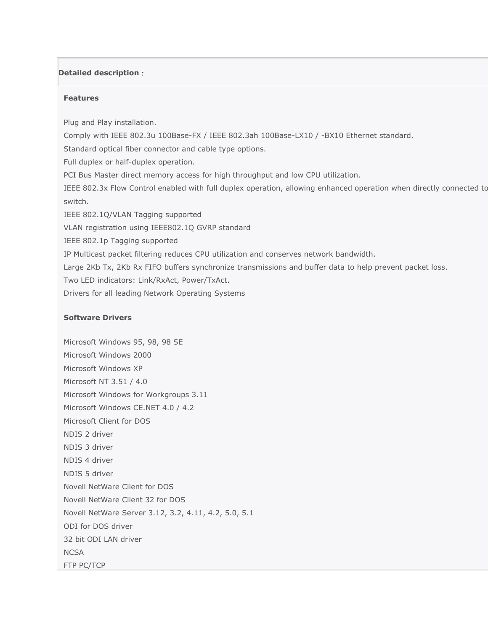# **Detailed description**:

#### **Features**

Plug and Play installation.

Comply with IEEE 802.3u 100Base-FX / IEEE 802.3ah 100Base-LX10 / -BX10 Ethernet standard.

Standard optical fiber connector and cable type options.

Full duplex or half-duplex operation.

PCI Bus Master direct memory access for high throughput and low CPU utilization.

IEEE 802.3x Flow Control enabled with full duplex operation, allowing enhanced operation when directly connected to switch.

IEEE 802.1Q/VLAN Tagging supported

VLAN registration using IEEE802.1Q GVRP standard

IEEE 802.1p Tagging supported

IP Multicast packet filtering reduces CPU utilization and conserves network bandwidth.

Large 2Kb Tx, 2Kb Rx FIFO buffers synchronize transmissions and buffer data to help prevent packet loss.

Two LED indicators: Link/RxAct, Power/TxAct.

Drivers for all leading Network Operating Systems

## **Software Drivers**

Microsoft Windows 95, 98, 98 SE Microsoft Windows 2000 Microsoft Windows XP Microsoft NT 3.51 / 4.0 Microsoft Windows for Workgroups 3.11 Microsoft Windows CE.NET 4.0 / 4.2 Microsoft Client for DOS NDIS 2 driver NDIS 3 driver NDIS 4 driver NDIS 5 driver Novell NetWare Client for DOS Novell NetWare Client 32 for DOS Novell NetWare Server 3.12, 3.2, 4.11, 4.2, 5.0, 5.1 ODI for DOS driver 32 bit ODI LAN driver **NCSA** FTP PC/TCP